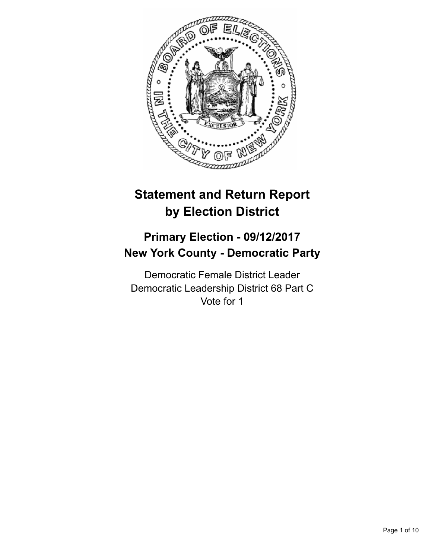

# **Statement and Return Report by Election District**

# **Primary Election - 09/12/2017 New York County - Democratic Party**

Democratic Female District Leader Democratic Leadership District 68 Part C Vote for 1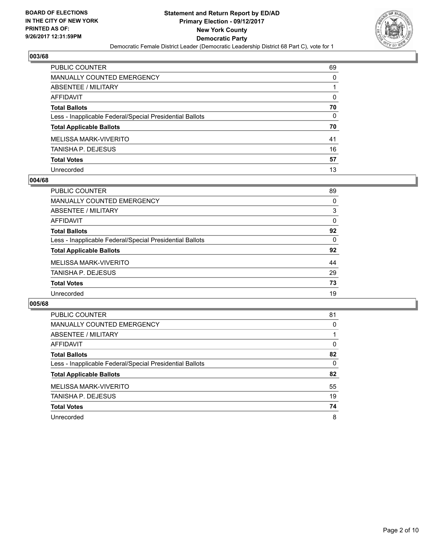

| PUBLIC COUNTER                                           | 69 |
|----------------------------------------------------------|----|
| <b>MANUALLY COUNTED EMERGENCY</b>                        | 0  |
| ABSENTEE / MILITARY                                      | 1  |
| <b>AFFIDAVIT</b>                                         | 0  |
| <b>Total Ballots</b>                                     | 70 |
| Less - Inapplicable Federal/Special Presidential Ballots | 0  |
| <b>Total Applicable Ballots</b>                          | 70 |
| MELISSA MARK-VIVERITO                                    | 41 |
| <b>TANISHA P. DEJESUS</b>                                | 16 |
| <b>Total Votes</b>                                       | 57 |
| Unrecorded                                               | 13 |

#### **004/68**

| PUBLIC COUNTER                                           | 89 |
|----------------------------------------------------------|----|
| <b>MANUALLY COUNTED EMERGENCY</b>                        | 0  |
| ABSENTEE / MILITARY                                      | 3  |
| AFFIDAVIT                                                | 0  |
| <b>Total Ballots</b>                                     | 92 |
| Less - Inapplicable Federal/Special Presidential Ballots | 0  |
| <b>Total Applicable Ballots</b>                          | 92 |
| MELISSA MARK-VIVERITO                                    | 44 |
| <b>TANISHA P. DEJESUS</b>                                | 29 |
| <b>Total Votes</b>                                       | 73 |
| Unrecorded                                               | 19 |
|                                                          |    |

| <b>PUBLIC COUNTER</b>                                    | 81 |
|----------------------------------------------------------|----|
| MANUALLY COUNTED EMERGENCY                               | 0  |
| ABSENTEE / MILITARY                                      |    |
| AFFIDAVIT                                                | 0  |
| <b>Total Ballots</b>                                     | 82 |
| Less - Inapplicable Federal/Special Presidential Ballots | 0  |
| <b>Total Applicable Ballots</b>                          | 82 |
| MELISSA MARK-VIVERITO                                    | 55 |
| <b>TANISHA P. DEJESUS</b>                                | 19 |
| <b>Total Votes</b>                                       | 74 |
| Unrecorded                                               | 8  |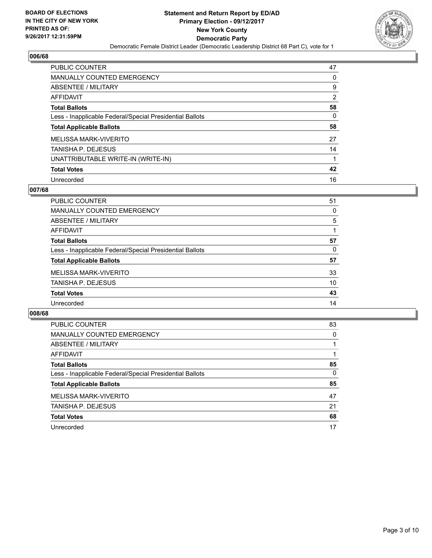

| <b>PUBLIC COUNTER</b>                                    | 47             |
|----------------------------------------------------------|----------------|
| <b>MANUALLY COUNTED EMERGENCY</b>                        | 0              |
| ABSENTEE / MILITARY                                      | 9              |
| AFFIDAVIT                                                | $\overline{2}$ |
| <b>Total Ballots</b>                                     | 58             |
| Less - Inapplicable Federal/Special Presidential Ballots | 0              |
| <b>Total Applicable Ballots</b>                          | 58             |
| <b>MELISSA MARK-VIVERITO</b>                             | 27             |
| <b>TANISHA P. DEJESUS</b>                                | 14             |
| UNATTRIBUTABLE WRITE-IN (WRITE-IN)                       |                |
| <b>Total Votes</b>                                       | 42             |
| Unrecorded                                               | 16             |

#### **007/68**

| PUBLIC COUNTER                                           | 51 |
|----------------------------------------------------------|----|
| MANUALLY COUNTED EMERGENCY                               | 0  |
| ABSENTEE / MILITARY                                      | 5  |
| <b>AFFIDAVIT</b>                                         |    |
| <b>Total Ballots</b>                                     | 57 |
| Less - Inapplicable Federal/Special Presidential Ballots | 0  |
| <b>Total Applicable Ballots</b>                          | 57 |
| MELISSA MARK-VIVERITO                                    | 33 |
| <b>TANISHA P. DEJESUS</b>                                | 10 |
| <b>Total Votes</b>                                       | 43 |
| Unrecorded                                               | 14 |

| <b>PUBLIC COUNTER</b>                                    | 83 |
|----------------------------------------------------------|----|
| MANUALLY COUNTED EMERGENCY                               | 0  |
| ABSENTEE / MILITARY                                      |    |
| AFFIDAVIT                                                |    |
| <b>Total Ballots</b>                                     | 85 |
| Less - Inapplicable Federal/Special Presidential Ballots | 0  |
| <b>Total Applicable Ballots</b>                          | 85 |
| MELISSA MARK-VIVERITO                                    | 47 |
| <b>TANISHA P. DEJESUS</b>                                | 21 |
| <b>Total Votes</b>                                       | 68 |
| Unrecorded                                               | 17 |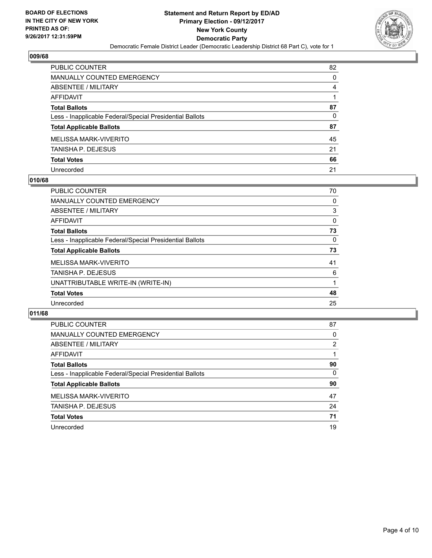

| <b>PUBLIC COUNTER</b>                                    | 82 |
|----------------------------------------------------------|----|
| <b>MANUALLY COUNTED EMERGENCY</b>                        | 0  |
| <b>ABSENTEE / MILITARY</b>                               | 4  |
| <b>AFFIDAVIT</b>                                         |    |
| <b>Total Ballots</b>                                     | 87 |
| Less - Inapplicable Federal/Special Presidential Ballots | 0  |
| <b>Total Applicable Ballots</b>                          | 87 |
| <b>MELISSA MARK-VIVERITO</b>                             | 45 |
| TANISHA P. DEJESUS                                       | 21 |
| <b>Total Votes</b>                                       | 66 |
| Unrecorded                                               | 21 |

#### **010/68**

| <b>PUBLIC COUNTER</b>                                    | 70 |
|----------------------------------------------------------|----|
| <b>MANUALLY COUNTED EMERGENCY</b>                        | 0  |
| ABSENTEE / MILITARY                                      | 3  |
| AFFIDAVIT                                                | 0  |
| <b>Total Ballots</b>                                     | 73 |
| Less - Inapplicable Federal/Special Presidential Ballots | 0  |
| <b>Total Applicable Ballots</b>                          | 73 |
| MELISSA MARK-VIVERITO                                    | 41 |
| <b>TANISHA P. DEJESUS</b>                                | 6  |
| UNATTRIBUTABLE WRITE-IN (WRITE-IN)                       |    |
| <b>Total Votes</b>                                       | 48 |
| Unrecorded                                               | 25 |

| <b>PUBLIC COUNTER</b>                                    | 87 |
|----------------------------------------------------------|----|
| <b>MANUALLY COUNTED EMERGENCY</b>                        | 0  |
| ABSENTEE / MILITARY                                      | 2  |
| AFFIDAVIT                                                |    |
| <b>Total Ballots</b>                                     | 90 |
| Less - Inapplicable Federal/Special Presidential Ballots | 0  |
| <b>Total Applicable Ballots</b>                          | 90 |
| MELISSA MARK-VIVERITO                                    | 47 |
| TANISHA P. DEJESUS                                       | 24 |
| <b>Total Votes</b>                                       | 71 |
| Unrecorded                                               | 19 |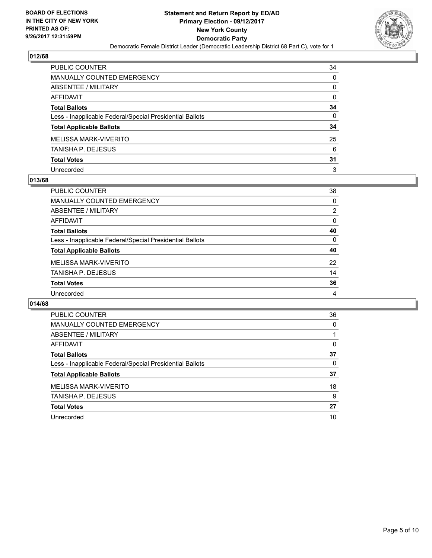

| PUBLIC COUNTER                                           | 34           |
|----------------------------------------------------------|--------------|
| <b>MANUALLY COUNTED EMERGENCY</b>                        | $\Omega$     |
| <b>ABSENTEE / MILITARY</b>                               | 0            |
| <b>AFFIDAVIT</b>                                         | $\Omega$     |
| <b>Total Ballots</b>                                     | 34           |
| Less - Inapplicable Federal/Special Presidential Ballots | $\mathbf{0}$ |
| <b>Total Applicable Ballots</b>                          | 34           |
| <b>MELISSA MARK-VIVERITO</b>                             | 25           |
| TANISHA P. DEJESUS                                       | 6            |
| <b>Total Votes</b>                                       | 31           |
| Unrecorded                                               | 3            |

#### **013/68**

| PUBLIC COUNTER                                           | 38 |
|----------------------------------------------------------|----|
| <b>MANUALLY COUNTED EMERGENCY</b>                        | 0  |
| ABSENTEE / MILITARY                                      | 2  |
| AFFIDAVIT                                                | 0  |
| <b>Total Ballots</b>                                     | 40 |
| Less - Inapplicable Federal/Special Presidential Ballots | 0  |
| <b>Total Applicable Ballots</b>                          | 40 |
| MELISSA MARK-VIVERITO                                    | 22 |
| <b>TANISHA P. DEJESUS</b>                                | 14 |
| <b>Total Votes</b>                                       | 36 |
| Unrecorded                                               | 4  |

| <b>PUBLIC COUNTER</b>                                    | 36 |
|----------------------------------------------------------|----|
| <b>MANUALLY COUNTED EMERGENCY</b>                        | 0  |
| <b>ABSENTEE / MILITARY</b>                               |    |
| AFFIDAVIT                                                | 0  |
| <b>Total Ballots</b>                                     | 37 |
| Less - Inapplicable Federal/Special Presidential Ballots | 0  |
| <b>Total Applicable Ballots</b>                          | 37 |
| <b>MELISSA MARK-VIVERITO</b>                             | 18 |
| TANISHA P. DEJESUS                                       | 9  |
| <b>Total Votes</b>                                       | 27 |
| Unrecorded                                               | 10 |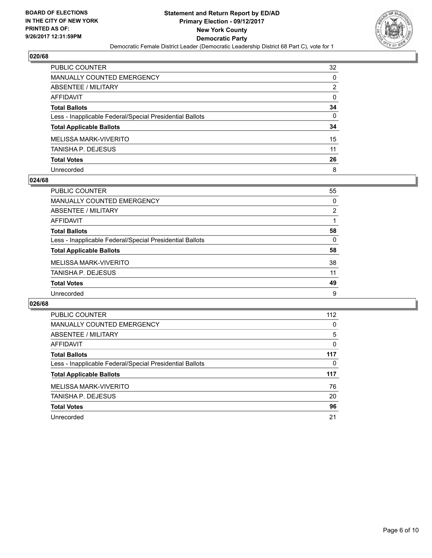

| <b>PUBLIC COUNTER</b>                                    | 32           |
|----------------------------------------------------------|--------------|
| <b>MANUALLY COUNTED EMERGENCY</b>                        | $\Omega$     |
| <b>ABSENTEE / MILITARY</b>                               | 2            |
| <b>AFFIDAVIT</b>                                         | 0            |
| <b>Total Ballots</b>                                     | 34           |
| Less - Inapplicable Federal/Special Presidential Ballots | $\mathbf{0}$ |
| <b>Total Applicable Ballots</b>                          | 34           |
| <b>MELISSA MARK-VIVERITO</b>                             | 15           |
| TANISHA P. DEJESUS                                       | 11           |
| <b>Total Votes</b>                                       | 26           |
| Unrecorded                                               | 8            |

#### **024/68**

| <b>PUBLIC COUNTER</b>                                    | 55 |
|----------------------------------------------------------|----|
| <b>MANUALLY COUNTED EMERGENCY</b>                        | 0  |
| ABSENTEE / MILITARY                                      | 2  |
| AFFIDAVIT                                                |    |
| <b>Total Ballots</b>                                     | 58 |
| Less - Inapplicable Federal/Special Presidential Ballots | 0  |
| <b>Total Applicable Ballots</b>                          | 58 |
| MELISSA MARK-VIVERITO                                    | 38 |
| <b>TANISHA P. DEJESUS</b>                                | 11 |
| <b>Total Votes</b>                                       | 49 |
| Unrecorded                                               | 9  |

| PUBLIC COUNTER                                           | 112 |
|----------------------------------------------------------|-----|
| <b>MANUALLY COUNTED EMERGENCY</b>                        | 0   |
| ABSENTEE / MILITARY                                      | 5   |
| <b>AFFIDAVIT</b>                                         | 0   |
| <b>Total Ballots</b>                                     | 117 |
| Less - Inapplicable Federal/Special Presidential Ballots | 0   |
| <b>Total Applicable Ballots</b>                          | 117 |
| MELISSA MARK-VIVERITO                                    | 76  |
| TANISHA P. DEJESUS                                       | 20  |
| <b>Total Votes</b>                                       | 96  |
| Unrecorded                                               | 21  |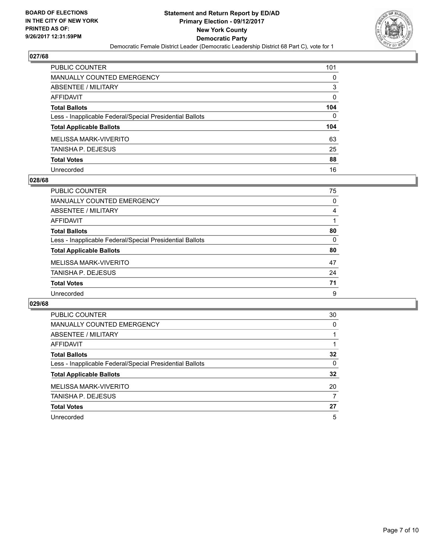

| <b>PUBLIC COUNTER</b>                                    | 101 |
|----------------------------------------------------------|-----|
| <b>MANUALLY COUNTED EMERGENCY</b>                        | 0   |
| ABSENTEE / MILITARY                                      | 3   |
| AFFIDAVIT                                                | 0   |
| <b>Total Ballots</b>                                     | 104 |
| Less - Inapplicable Federal/Special Presidential Ballots | 0   |
| <b>Total Applicable Ballots</b>                          | 104 |
| MELISSA MARK-VIVERITO                                    | 63  |
| <b>TANISHA P. DEJESUS</b>                                | 25  |
| <b>Total Votes</b>                                       | 88  |
| Unrecorded                                               | 16  |

#### **028/68**

| PUBLIC COUNTER                                           | 75 |
|----------------------------------------------------------|----|
| <b>MANUALLY COUNTED EMERGENCY</b>                        | 0  |
| ABSENTEE / MILITARY                                      | 4  |
| AFFIDAVIT                                                |    |
| <b>Total Ballots</b>                                     | 80 |
| Less - Inapplicable Federal/Special Presidential Ballots | 0  |
| <b>Total Applicable Ballots</b>                          | 80 |
| MELISSA MARK-VIVERITO                                    | 47 |
| <b>TANISHA P. DEJESUS</b>                                | 24 |
| <b>Total Votes</b>                                       | 71 |
| Unrecorded                                               | 9  |

| <b>PUBLIC COUNTER</b>                                    | 30 |
|----------------------------------------------------------|----|
| <b>MANUALLY COUNTED EMERGENCY</b>                        | 0  |
| ABSENTEE / MILITARY                                      |    |
| AFFIDAVIT                                                |    |
| <b>Total Ballots</b>                                     | 32 |
| Less - Inapplicable Federal/Special Presidential Ballots | 0  |
| <b>Total Applicable Ballots</b>                          | 32 |
| MELISSA MARK-VIVERITO                                    | 20 |
| TANISHA P. DEJESUS                                       | 7  |
| <b>Total Votes</b>                                       | 27 |
| Unrecorded                                               | 5  |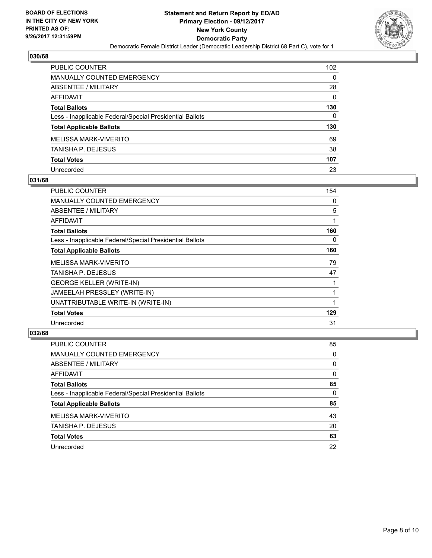

| PUBLIC COUNTER                                           | 102 |
|----------------------------------------------------------|-----|
| <b>MANUALLY COUNTED EMERGENCY</b>                        | 0   |
| ABSENTEE / MILITARY                                      | 28  |
| <b>AFFIDAVIT</b>                                         | 0   |
| <b>Total Ballots</b>                                     | 130 |
| Less - Inapplicable Federal/Special Presidential Ballots | 0   |
| <b>Total Applicable Ballots</b>                          | 130 |
| MELISSA MARK-VIVERITO                                    | 69  |
| <b>TANISHA P. DEJESUS</b>                                | 38  |
| <b>Total Votes</b>                                       | 107 |
| Unrecorded                                               | 23  |

#### **031/68**

| PUBLIC COUNTER                                           | 154 |
|----------------------------------------------------------|-----|
| <b>MANUALLY COUNTED EMERGENCY</b>                        | 0   |
| ABSENTEE / MILITARY                                      | 5   |
| AFFIDAVIT                                                |     |
| <b>Total Ballots</b>                                     | 160 |
| Less - Inapplicable Federal/Special Presidential Ballots | 0   |
| <b>Total Applicable Ballots</b>                          | 160 |
| <b>MELISSA MARK-VIVERITO</b>                             | 79  |
| TANISHA P. DEJESUS                                       | 47  |
| <b>GEORGE KELLER (WRITE-IN)</b>                          |     |
| JAMEELAH PRESSLEY (WRITE-IN)                             |     |
| UNATTRIBUTABLE WRITE-IN (WRITE-IN)                       |     |
| <b>Total Votes</b>                                       | 129 |
| Unrecorded                                               | 31  |

| <b>PUBLIC COUNTER</b>                                    | 85       |
|----------------------------------------------------------|----------|
| MANUALLY COUNTED EMERGENCY                               | 0        |
| ABSENTEE / MILITARY                                      | $\Omega$ |
| AFFIDAVIT                                                | 0        |
| <b>Total Ballots</b>                                     | 85       |
| Less - Inapplicable Federal/Special Presidential Ballots | 0        |
| <b>Total Applicable Ballots</b>                          | 85       |
| MELISSA MARK-VIVERITO                                    | 43       |
| <b>TANISHA P. DEJESUS</b>                                | 20       |
| <b>Total Votes</b>                                       | 63       |
| Unrecorded                                               | 22       |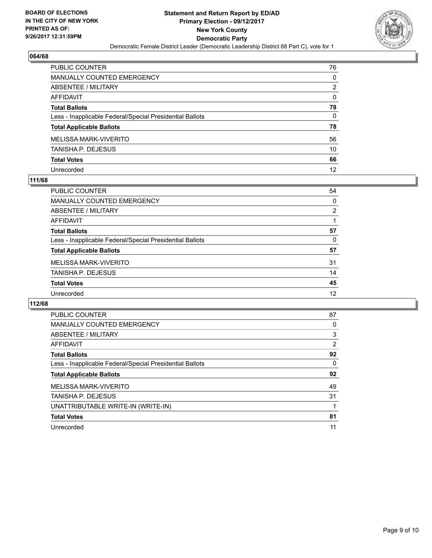

| PUBLIC COUNTER                                           | 76 |
|----------------------------------------------------------|----|
| <b>MANUALLY COUNTED EMERGENCY</b>                        | 0  |
| <b>ABSENTEE / MILITARY</b>                               | 2  |
| <b>AFFIDAVIT</b>                                         | 0  |
| <b>Total Ballots</b>                                     | 78 |
| Less - Inapplicable Federal/Special Presidential Ballots | 0  |
| <b>Total Applicable Ballots</b>                          | 78 |
| <b>MELISSA MARK-VIVERITO</b>                             | 56 |
| <b>TANISHA P. DEJESUS</b>                                | 10 |
| <b>Total Votes</b>                                       | 66 |
| Unrecorded                                               | 12 |

#### **111/68**

| PUBLIC COUNTER                                           | 54             |
|----------------------------------------------------------|----------------|
| MANUALLY COUNTED EMERGENCY                               | 0              |
| ABSENTEE / MILITARY                                      | $\overline{2}$ |
| AFFIDAVIT                                                |                |
| <b>Total Ballots</b>                                     | 57             |
| Less - Inapplicable Federal/Special Presidential Ballots | 0              |
| <b>Total Applicable Ballots</b>                          | 57             |
| MELISSA MARK-VIVERITO                                    | 31             |
| <b>TANISHA P. DEJESUS</b>                                | 14             |
| <b>Total Votes</b>                                       | 45             |
| Unrecorded                                               | 12             |

| <b>PUBLIC COUNTER</b>                                    | 87 |
|----------------------------------------------------------|----|
| <b>MANUALLY COUNTED EMERGENCY</b>                        | 0  |
| ABSENTEE / MILITARY                                      | 3  |
| AFFIDAVIT                                                | 2  |
| <b>Total Ballots</b>                                     | 92 |
| Less - Inapplicable Federal/Special Presidential Ballots | 0  |
| <b>Total Applicable Ballots</b>                          | 92 |
| <b>MELISSA MARK-VIVERITO</b>                             | 49 |
|                                                          |    |
| <b>TANISHA P. DEJESUS</b>                                | 31 |
| UNATTRIBUTABLE WRITE-IN (WRITE-IN)                       |    |
| <b>Total Votes</b>                                       | 81 |